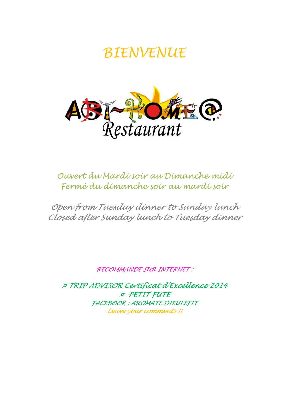# BIENVENUE



# Ouvert du Mardi soir au Dimanche midi Fermé du dimanche soir au mardi soir

Open from Tuesday dinner to Sunday lunch Closed after Sunday lunch to Tuesday dinner

RECOMMANDE SUR INTERNET :

¤ TRIP ADVISOR Certificat d'Excellence 2014 ¤ PETIT FUTE FACEBOOK : AROMATE DIEULEFIT Leave your comments !!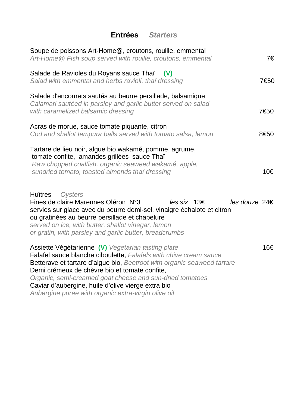# **Entrées Starters**

| Soupe de poissons Art-Home@, croutons, rouille, emmental<br>Art-Home @ Fish soup served with rouille, croutons, emmental                                                                                                                                                                                                                                                                                                     | 7€            |
|------------------------------------------------------------------------------------------------------------------------------------------------------------------------------------------------------------------------------------------------------------------------------------------------------------------------------------------------------------------------------------------------------------------------------|---------------|
| Salade de Ravioles du Royans sauce Thaï<br>(V)<br>Salad with emmental and herbs ravioli, thai dressing                                                                                                                                                                                                                                                                                                                       | 7€50          |
| Salade d'encornets sautés au beurre persillade, balsamique<br>Calamari sautéed in parsley and garlic butter served on salad<br>with caramelized balsamic dressing                                                                                                                                                                                                                                                            | 7€50          |
| Acras de morue, sauce tomate piquante, citron<br>Cod and shallot tempura balls served with tomato salsa, lemon                                                                                                                                                                                                                                                                                                               | 8€50          |
| Tartare de lieu noir, algue bio wakamé, pomme, agrume,<br>tomate confite, amandes grillées sauce Thaï<br>Raw chopped coalfish, organic seaweed wakamé, apple,<br>sundried tomato, toasted almonds thai dressing                                                                                                                                                                                                              | 10€           |
| <b>Huîtres</b><br>Oysters<br>Fines de claire Marennes Oléron N°3<br>les six 13€<br>servies sur glace avec du beurre demi-sel, vinaigre échalote et citron<br>ou gratinées au beurre persillade et chapelure<br>served on ice, with butter, shallot vinegar, lemon<br>or gratin, with parsley and garlic butter, breadcrumbs                                                                                                  | les douze 24€ |
| Assiette Végétarienne (V) Vegetarian tasting plate<br>Falafel sauce blanche ciboulette, Falafels with chive cream sauce<br>Betterave et tartare d'algue bio, Beetroot with organic seaweed tartare<br>Demi crémeux de chèvre bio et tomate confite,<br>Organic, semi-creamed goat cheese and sun-dried tomatoes<br>Caviar d'aubergine, huile d'olive vierge extra bio<br>Aubergine puree with organic extra-virgin olive oil | 16€           |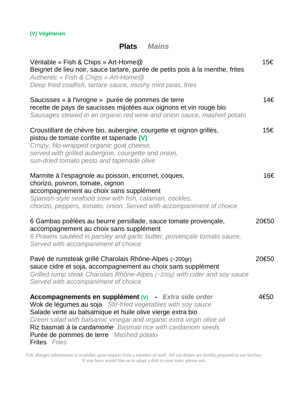#### **(V) Végétarien**

## **Plats Mains**

| Véritable « Fish & Chips » Art-Home@<br>Beignet de lieu noir, sauce tartare, purée de petits pois à la menthe, frites<br>Authentic « Fish & Chips » Art-Home @<br>Deep fried coalfish, tartare sauce, mushy mint peas, fries                                                                                                                                                                       | 15€   |
|----------------------------------------------------------------------------------------------------------------------------------------------------------------------------------------------------------------------------------------------------------------------------------------------------------------------------------------------------------------------------------------------------|-------|
| Saucisses « à l'ivrogne » purée de pommes de terre<br>recette de pays de saucisses mijotées aux oignons et vin rouge bio<br>Sausages stewed in an organic red wine and onion sauce, mashed potato                                                                                                                                                                                                  | 14€   |
| Croustillant de chèvre bio, aubergine, courgette et oignon grillés,<br>pistou de tomate confite et tapenade (V)<br>Crispy, filo-wrapped organic goat cheese,<br>served with grilled aubergine, courgette and onion,<br>sun-dried tomato pesto and tapenade olive                                                                                                                                   | 15€   |
| Marmite à l'espagnole au poisson, encornet, coques,<br>chorizo, poivron, tomate, oignon<br>accompagnement au choix sans supplément<br>Spanish-style seafood stew with fish, calamari, cockles,<br>chorizo, peppers, tomato, onion. Served with accompaniment of choice                                                                                                                             | 16€   |
| 6 Gambas poêlées au beurre persillade, sauce tomate provençale,<br>accompagnement au choix sans supplément<br>6 Prawns sautéed in parsley and garlic butter, provençale tomato sauce,<br>Served with accompaniment of choice                                                                                                                                                                       | 20€50 |
| Pavé de rumsteak grillé Charolais Rhône-Alpes (~200gr)<br>sauce cidre et soja, accompagnement au choix sans supplément<br>Grilled rump steak Charolais Rhône-Alpes (~200g) with cider and soy sauce<br>Served with accompaniment of choice                                                                                                                                                         | 20€50 |
| Accompagnements en supplément $(V)$ - Extra side order<br>Wok de légumes au soja Stir-fried vegetables with soy sauce<br>Salade verte au balsamique et huile olive vierge extra bio<br>Green salad with balsamic vinegar and organic extra virgin olive oil<br>Riz basmati à la cardamome Basmati rice with cardamom seeds<br>Purée de pommes de terre Mashed potato<br><b>Frites</b> <i>Fries</i> | 4€50  |

Full allergen information is available upon request from a member of staff. All our dishes are freshly prepared in our kitchen. If you have would like us to adapt a dish to your taste, please ask.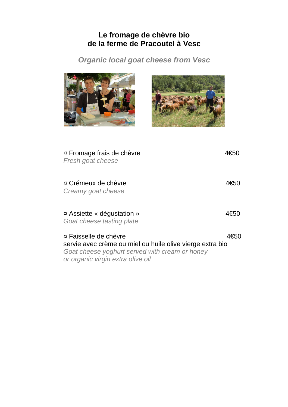## **Le fromage de chèvre bio de la ferme de Pracoutel à Vesc**

**Organic local goat cheese from Vesc** 

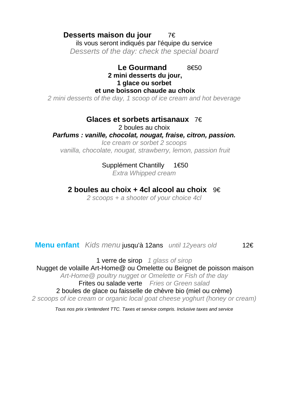### **Desserts maison du jour** 7€

ils vous seront indiqués par l'équipe du service Desserts of the day: check the special board

#### Le Gourmand 8€50  **2 mini desserts du jour, 1 glace ou sorbet et une boisson chaude au choix**

2 mini desserts of the day, 1 scoop of ice cream and hot beverage

#### **Glaces et sorbets artisanaux** 7€

2 boules au choix

#### **Parfums : vanille, chocolat, nougat, fraise, citron, passion.**

Ice cream or sorbet 2 scoops vanilla, chocolate, nougat, strawberry, lemon, passion fruit

#### Supplément Chantilly 1€50

Extra Whipped cream

#### **2 boules au choix + 4cl alcool au choix** 9€

2 scoops + a shooter of your choice 4cl

**Menu enfant** Kids menu jusqu'à 12ans until 12years old 12€

1 verre de sirop 1 glass of sirop

Nugget de volaille Art-Home@ ou Omelette ou Beignet de poisson maison

Art-Home@ poultry nugget or Omelette or Fish of the day

Frites ou salade verte Fries or Green salad

2 boules de glace ou faisselle de chèvre bio (miel ou crème)

2 scoops of ice cream or organic local goat cheese yoghurt (honey or cream)

Tous nos prix s'entendent TTC. Taxes et service compris. Inclusive taxes and service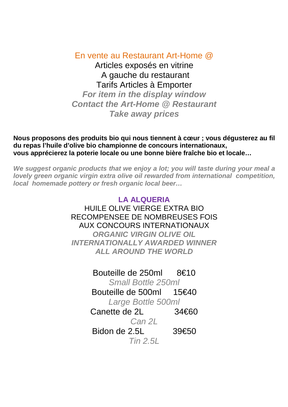En vente au Restaurant Art-Home @ Articles exposés en vitrine A gauche du restaurant

Tarifs Articles à Emporter **For item in the display window Contact the Art-Home @ Restaurant Take away prices**

**Nous proposons des produits bio qui nous tiennent à cœur ; vous dégusterez au fil du repas l'huile d'olive bio championne de concours internationaux, vous apprécierez la poterie locale ou une bonne bière fraîche bio et locale…** 

**We suggest organic products that we enjoy a lot; you will taste during your meal a lovely green organic virgin extra olive oil rewarded from international competition, local homemade pottery or fresh organic local beer…** 

> **LA ALQUERIA**  HUILE OLIVE VIERGE EXTRA BIO RECOMPENSEE DE NOMBREUSES FOIS AUX CONCOURS INTERNATIONAUX **ORGANIC VIRGIN OLIVE OIL INTERNATIONALLY AWARDED WINNER ALL AROUND THE WORLD**

> > Bouteille de 250ml 8€10 Small Bottle 250ml Bouteille de 500ml 15€40 Large Bottle 500ml Canette de  $2I$   $34€60$ Can 21 Bidon de 2.5L 39€50 Tin 2.5L